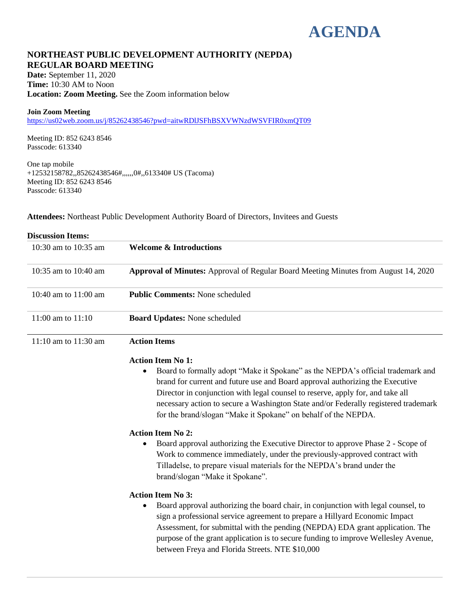# **AGENDA**

# **NORTHEAST PUBLIC DEVELOPMENT AUTHORITY (NEPDA) REGULAR BOARD MEETING**

**Date:** September 11, 2020 **Time:** 10:30 AM to Noon **Location: Zoom Meeting.** See the Zoom information below

#### **Join Zoom Meeting**

<https://us02web.zoom.us/j/85262438546?pwd=aitwRDlJSFhBSXVWNzdWSVFIR0xmQT09>

Meeting ID: 852 6243 8546 Passcode: 613340

One tap mobile +12532158782,,85262438546#,,,,,,0#,,613340# US (Tacoma) Meeting ID: 852 6243 8546 Passcode: 613340

**Attendees:** Northeast Public Development Authority Board of Directors, Invitees and Guests

| <b>Discussion Items:</b> |                                                                                                                                                                                                                                                                                                                                                                                                                                              |
|--------------------------|----------------------------------------------------------------------------------------------------------------------------------------------------------------------------------------------------------------------------------------------------------------------------------------------------------------------------------------------------------------------------------------------------------------------------------------------|
| 10:30 am to 10:35 am     | <b>Welcome &amp; Introductions</b>                                                                                                                                                                                                                                                                                                                                                                                                           |
| 10:35 am to 10:40 am     | <b>Approval of Minutes:</b> Approval of Regular Board Meeting Minutes from August 14, 2020                                                                                                                                                                                                                                                                                                                                                   |
| 10:40 am to 11:00 am     | <b>Public Comments: None scheduled</b>                                                                                                                                                                                                                                                                                                                                                                                                       |
| 11:00 am to 11:10        | <b>Board Updates: None scheduled</b>                                                                                                                                                                                                                                                                                                                                                                                                         |
| 11:10 am to 11:30 am     | <b>Action Items</b>                                                                                                                                                                                                                                                                                                                                                                                                                          |
|                          | <b>Action Item No 1:</b><br>Board to formally adopt "Make it Spokane" as the NEPDA's official trademark and<br>٠<br>brand for current and future use and Board approval authorizing the Executive<br>Director in conjunction with legal counsel to reserve, apply for, and take all<br>necessary action to secure a Washington State and/or Federally registered trademark<br>for the brand/slogan "Make it Spokane" on behalf of the NEPDA. |
|                          | <b>Action Item No 2:</b><br>Board approval authorizing the Executive Director to approve Phase 2 - Scope of<br>Work to commence immediately, under the previously-approved contract with<br>Tilladelse, to prepare visual materials for the NEPDA's brand under the<br>brand/slogan "Make it Spokane".                                                                                                                                       |
|                          | <b>Action Item No 3:</b><br>Board approval authorizing the board chair, in conjunction with legal counsel, to<br>٠<br>sign a professional service agreement to prepare a Hillyard Economic Impact<br>Assessment, for submittal with the pending (NEPDA) EDA grant application. The<br>purpose of the grant application is to secure funding to improve Wellesley Avenue,<br>between Freya and Florida Streets. NTE \$10,000                  |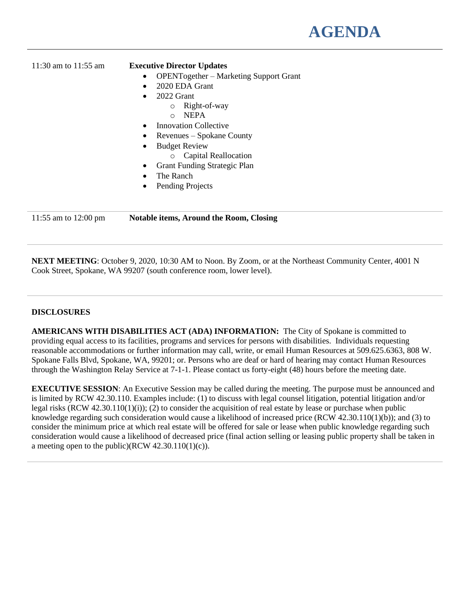# 11:30 am to 11:55 am **Executive Director Updates**

- OPENTogether Marketing Support Grant
- 2020 EDA Grant
- 2022 Grant
	- o Right-of-way
	- o NEPA
- **Innovation Collective**
- Revenues Spokane County
- Budget Review
	- o Capital Reallocation
- Grant Funding Strategic Plan
- The Ranch
- Pending Projects

11:55 am to 12:00 pm **Notable items, Around the Room, Closing**

**NEXT MEETING**: October 9, 2020, 10:30 AM to Noon. By Zoom, or at the Northeast Community Center, 4001 N Cook Street, Spokane, WA 99207 (south conference room, lower level).

# **DISCLOSURES**

**AMERICANS WITH DISABILITIES ACT (ADA) INFORMATION:** The City of Spokane is committed to providing equal access to its facilities, programs and services for persons with disabilities. Individuals requesting reasonable accommodations or further information may call, write, or email Human Resources at 509.625.6363, 808 W. Spokane Falls Blvd, Spokane, WA, 99201; or. Persons who are deaf or hard of hearing may contact Human Resources through the Washington Relay Service at 7-1-1. Please contact us forty-eight (48) hours before the meeting date.

**EXECUTIVE SESSION:** An Executive Session may be called during the meeting. The purpose must be announced and is limited by RCW 42.30.110. Examples include: (1) to discuss with legal counsel litigation, potential litigation and/or legal risks (RCW 42.30.110(1)(i)); (2) to consider the acquisition of real estate by lease or purchase when public knowledge regarding such consideration would cause a likelihood of increased price (RCW 42.30.110(1)(b)); and (3) to consider the minimum price at which real estate will be offered for sale or lease when public knowledge regarding such consideration would cause a likelihood of decreased price (final action selling or leasing public property shall be taken in a meeting open to the public)(RCW  $42.30.110(1)(c)$ ).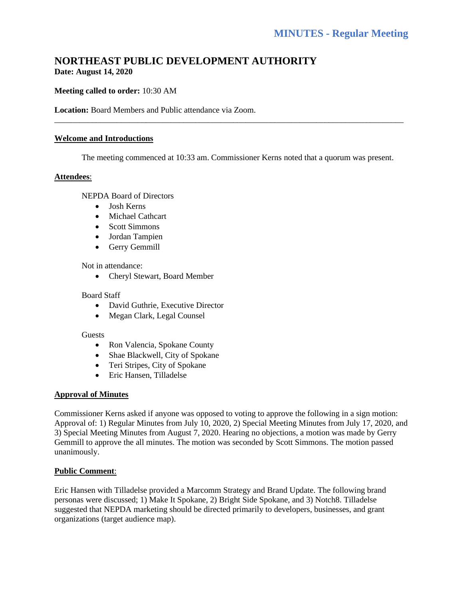# **NORTHEAST PUBLIC DEVELOPMENT AUTHORITY Date: August 14, 2020**

# **Meeting called to order:** 10:30 AM

**Location:** Board Members and Public attendance via Zoom.

#### **Welcome and Introductions**

The meeting commenced at 10:33 am. Commissioner Kerns noted that a quorum was present.

\_\_\_\_\_\_\_\_\_\_\_\_\_\_\_\_\_\_\_\_\_\_\_\_\_\_\_\_\_\_\_\_\_\_\_\_\_\_\_\_\_\_\_\_\_\_\_\_\_\_\_\_\_\_\_\_\_\_\_\_\_\_\_\_\_\_\_\_\_\_\_\_\_\_\_\_\_\_\_\_\_\_\_\_

#### **Attendees**:

NEPDA Board of Directors

- Josh Kerns
- Michael Cathcart
- Scott Simmons
- Jordan Tampien
- Gerry Gemmill

#### Not in attendance:

• Cheryl Stewart, Board Member

#### Board Staff

- David Guthrie, Executive Director
- Megan Clark, Legal Counsel

#### Guests

- Ron Valencia, Spokane County
- Shae Blackwell, City of Spokane
- Teri Stripes, City of Spokane
- Eric Hansen, Tilladelse

#### **Approval of Minutes**

Commissioner Kerns asked if anyone was opposed to voting to approve the following in a sign motion: Approval of: 1) Regular Minutes from July 10, 2020, 2) Special Meeting Minutes from July 17, 2020, and 3) Special Meeting Minutes from August 7, 2020. Hearing no objections, a motion was made by Gerry Gemmill to approve the all minutes. The motion was seconded by Scott Simmons. The motion passed unanimously.

#### **Public Comment**:

Eric Hansen with Tilladelse provided a Marcomm Strategy and Brand Update. The following brand personas were discussed; 1) Make It Spokane, 2) Bright Side Spokane, and 3) Notch8. Tilladelse suggested that NEPDA marketing should be directed primarily to developers, businesses, and grant organizations (target audience map).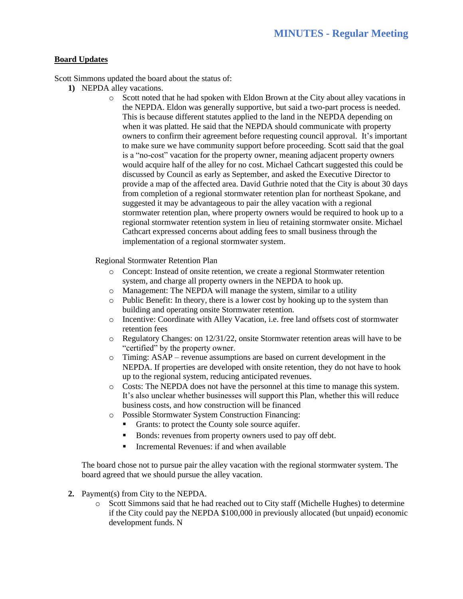#### **Board Updates**

Scott Simmons updated the board about the status of:

- **1)** NEPDA alley vacations.
	- o Scott noted that he had spoken with Eldon Brown at the City about alley vacations in the NEPDA. Eldon was generally supportive, but said a two-part process is needed. This is because different statutes applied to the land in the NEPDA depending on when it was platted. He said that the NEPDA should communicate with property owners to confirm their agreement before requesting council approval. It's important to make sure we have community support before proceeding. Scott said that the goal is a "no-cost" vacation for the property owner, meaning adjacent property owners would acquire half of the alley for no cost. Michael Cathcart suggested this could be discussed by Council as early as September, and asked the Executive Director to provide a map of the affected area. David Guthrie noted that the City is about 30 days from completion of a regional stormwater retention plan for northeast Spokane, and suggested it may be advantageous to pair the alley vacation with a regional stormwater retention plan, where property owners would be required to hook up to a regional stormwater retention system in lieu of retaining stormwater onsite. Michael Cathcart expressed concerns about adding fees to small business through the implementation of a regional stormwater system.

Regional Stormwater Retention Plan

- o Concept: Instead of onsite retention, we create a regional Stormwater retention system, and charge all property owners in the NEPDA to hook up.
- o Management: The NEPDA will manage the system, similar to a utility
- o Public Benefit: In theory, there is a lower cost by hooking up to the system than building and operating onsite Stormwater retention.
- o Incentive: Coordinate with Alley Vacation, i.e. free land offsets cost of stormwater retention fees
- $\circ$  Regulatory Changes: on 12/31/22, onsite Stormwater retention areas will have to be "certified" by the property owner.
- o Timing: ASAP revenue assumptions are based on current development in the NEPDA. If properties are developed with onsite retention, they do not have to hook up to the regional system, reducing anticipated revenues.
- o Costs: The NEPDA does not have the personnel at this time to manage this system. It's also unclear whether businesses will support this Plan, whether this will reduce business costs, and how construction will be financed
- o Possible Stormwater System Construction Financing:
	- Grants: to protect the County sole source aquifer.
	- Bonds: revenues from property owners used to pay off debt.
	- Incremental Revenues: if and when available

The board chose not to pursue pair the alley vacation with the regional stormwater system. The board agreed that we should pursue the alley vacation.

- **2.** Payment(s) from City to the NEPDA.
	- o Scott Simmons said that he had reached out to City staff (Michelle Hughes) to determine if the City could pay the NEPDA \$100,000 in previously allocated (but unpaid) economic development funds. N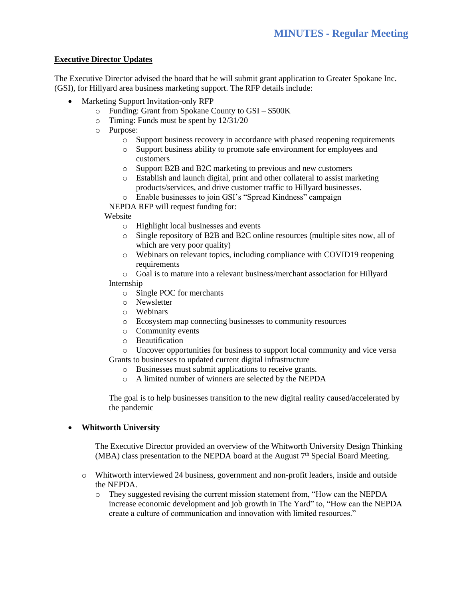# **Executive Director Updates**

The Executive Director advised the board that he will submit grant application to Greater Spokane Inc. (GSI), for Hillyard area business marketing support. The RFP details include:

- Marketing Support Invitation-only RFP
	- o Funding: Grant from Spokane County to GSI \$500K
	- o Timing: Funds must be spent by 12/31/20
	- o Purpose:
		- o Support business recovery in accordance with phased reopening requirements
		- o Support business ability to promote safe environment for employees and customers
		- o Support B2B and B2C marketing to previous and new customers
		- o Establish and launch digital, print and other collateral to assist marketing products/services, and drive customer traffic to Hillyard businesses.
		- o Enable businesses to join GSI's "Spread Kindness" campaign

NEPDA RFP will request funding for:

#### Website

- o Highlight local businesses and events
- o Single repository of B2B and B2C online resources (multiple sites now, all of which are very poor quality)
- o Webinars on relevant topics, including compliance with COVID19 reopening requirements
- o Goal is to mature into a relevant business/merchant association for Hillyard Internship
- - o Single POC for merchants
	- o Newsletter
	- o Webinars
	- o Ecosystem map connecting businesses to community resources
	- o Community events
	- o Beautification
- o Uncover opportunities for business to support local community and vice versa Grants to businesses to updated current digital infrastructure
	- o Businesses must submit applications to receive grants.
	- o A limited number of winners are selected by the NEPDA

The goal is to help businesses transition to the new digital reality caused/accelerated by the pandemic

#### • **Whitworth University**

The Executive Director provided an overview of the Whitworth University Design Thinking (MBA) class presentation to the NEPDA board at the August  $7<sup>th</sup>$  Special Board Meeting.

- o Whitworth interviewed 24 business, government and non-profit leaders, inside and outside the NEPDA.
	- o They suggested revising the current mission statement from, "How can the NEPDA increase economic development and job growth in The Yard" to, "How can the NEPDA create a culture of communication and innovation with limited resources."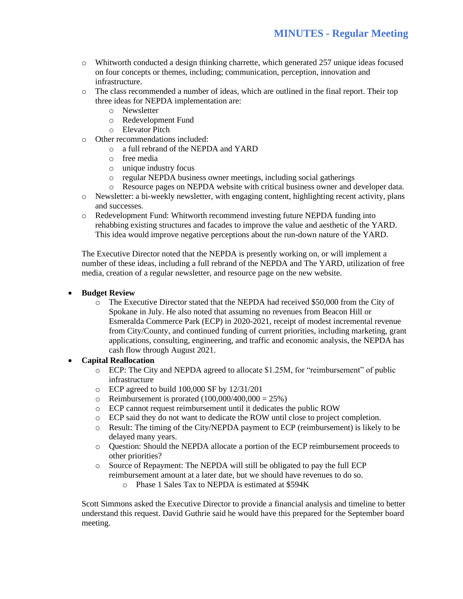- o Whitworth conducted a design thinking charrette, which generated 257 unique ideas focused on four concepts or themes, including; communication, perception, innovation and infrastructure.
- o The class recommended a number of ideas, which are outlined in the final report. Their top three ideas for NEPDA implementation are:
	- o Newsletter
	- o Redevelopment Fund
	- o Elevator Pitch
- o Other recommendations included:
	- o a full rebrand of the NEPDA and YARD
	- o free media
	- o unique industry focus
	- o regular NEPDA business owner meetings, including social gatherings
- o Resource pages on NEPDA website with critical business owner and developer data.
- o Newsletter: a bi-weekly newsletter, with engaging content, highlighting recent activity, plans and successes.
- o Redevelopment Fund: Whitworth recommend investing future NEPDA funding into rehabbing existing structures and facades to improve the value and aesthetic of the YARD. This idea would improve negative perceptions about the run-down nature of the YARD.

The Executive Director noted that the NEPDA is presently working on, or will implement a number of these ideas, including a full rebrand of the NEPDA and The YARD, utilization of free media, creation of a regular newsletter, and resource page on the new website.

# • **Budget Review**

o The Executive Director stated that the NEPDA had received \$50,000 from the City of Spokane in July. He also noted that assuming no revenues from Beacon Hill or Esmeralda Commerce Park (ECP) in 2020-2021, receipt of modest incremental revenue from City/County, and continued funding of current priorities, including marketing, grant applications, consulting, engineering, and traffic and economic analysis, the NEPDA has cash flow through August 2021.

#### • **Capital Reallocation**

- o ECP: The City and NEPDA agreed to allocate \$1.25M, for "reimbursement" of public infrastructure
- o ECP agreed to build 100,000 SF by 12/31/201
- $\degree$  Reimbursement is prorated (100,000/400,000 = 25%)
- o ECP cannot request reimbursement until it dedicates the public ROW
- o ECP said they do not want to dedicate the ROW until close to project completion.
- o Result: The timing of the City/NEPDA payment to ECP (reimbursement) is likely to be delayed many years.
- o Question: Should the NEPDA allocate a portion of the ECP reimbursement proceeds to other priorities?
- o Source of Repayment: The NEPDA will still be obligated to pay the full ECP reimbursement amount at a later date, but we should have revenues to do so.
	- o Phase 1 Sales Tax to NEPDA is estimated at \$594K

Scott Simmons asked the Executive Director to provide a financial analysis and timeline to better understand this request. David Guthrie said he would have this prepared for the September board meeting.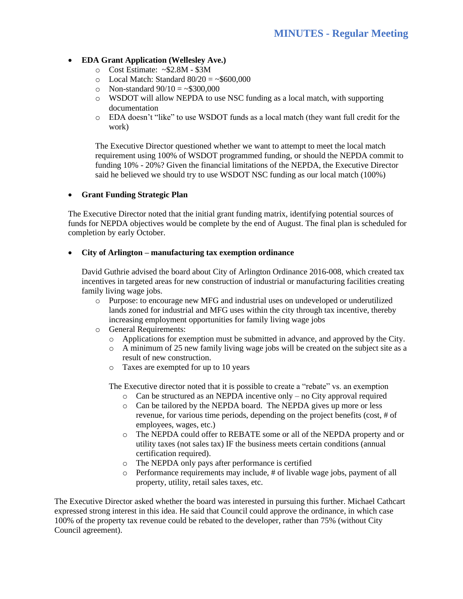# • **EDA Grant Application (Wellesley Ave.)**

- o Cost Estimate: ~\$2.8M \$3M
- $\degree$  Local Match: Standard 80/20 = ~\$600,000
- $\degree$  Non-standard 90/10 = ~\$300,000
- o WSDOT will allow NEPDA to use NSC funding as a local match, with supporting documentation
- o EDA doesn't "like" to use WSDOT funds as a local match (they want full credit for the work)

The Executive Director questioned whether we want to attempt to meet the local match requirement using 100% of WSDOT programmed funding, or should the NEPDA commit to funding 10% - 20%? Given the financial limitations of the NEPDA, the Executive Director said he believed we should try to use WSDOT NSC funding as our local match (100%)

#### • **Grant Funding Strategic Plan**

The Executive Director noted that the initial grant funding matrix, identifying potential sources of funds for NEPDA objectives would be complete by the end of August. The final plan is scheduled for completion by early October.

#### • **City of Arlington – manufacturing tax exemption ordinance**

David Guthrie advised the board about City of Arlington Ordinance 2016-008, which created tax incentives in targeted areas for new construction of industrial or manufacturing facilities creating family living wage jobs.

- o Purpose: to encourage new MFG and industrial uses on undeveloped or underutilized lands zoned for industrial and MFG uses within the city through tax incentive, thereby increasing employment opportunities for family living wage jobs
- o General Requirements:
	- o Applications for exemption must be submitted in advance, and approved by the City.
	- $\circ$  A minimum of 25 new family living wage jobs will be created on the subject site as a result of new construction.
	- o Taxes are exempted for up to 10 years

The Executive director noted that it is possible to create a "rebate" vs. an exemption

- o Can be structured as an NEPDA incentive only no City approval required
- o Can be tailored by the NEPDA board. The NEPDA gives up more or less revenue, for various time periods, depending on the project benefits (cost, # of employees, wages, etc.)
- o The NEPDA could offer to REBATE some or all of the NEPDA property and or utility taxes (not sales tax) IF the business meets certain conditions (annual certification required).
- o The NEPDA only pays after performance is certified
- o Performance requirements may include, # of livable wage jobs, payment of all property, utility, retail sales taxes, etc.

The Executive Director asked whether the board was interested in pursuing this further. Michael Cathcart expressed strong interest in this idea. He said that Council could approve the ordinance, in which case 100% of the property tax revenue could be rebated to the developer, rather than 75% (without City Council agreement).